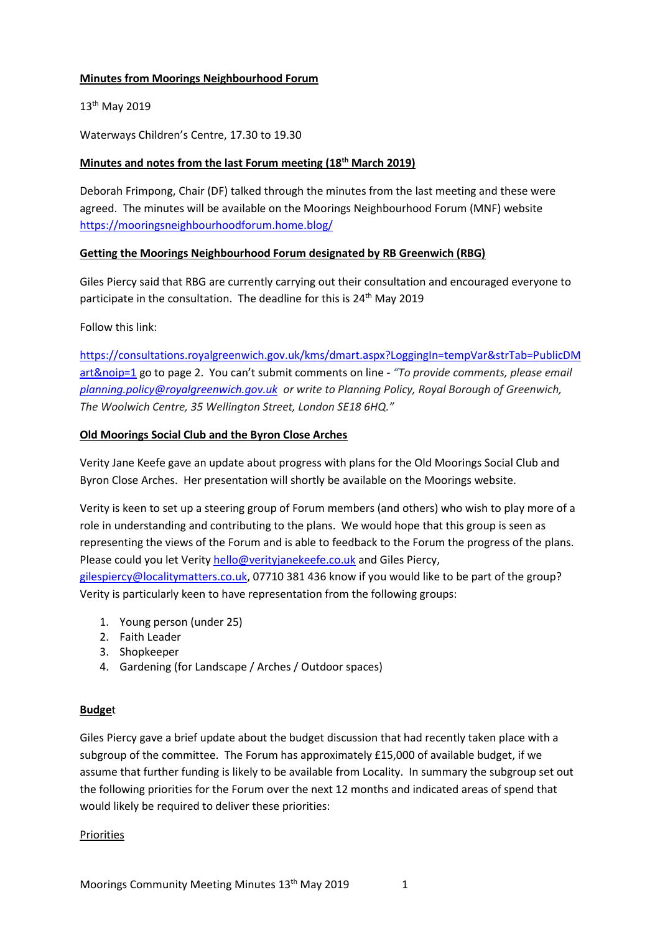## **Minutes from Moorings Neighbourhood Forum**

# 13<sup>th</sup> May 2019

Waterways Children's Centre, 17.30 to 19.30

# **Minutes and notes from the last Forum meeting (18 th March 2019)**

Deborah Frimpong, Chair (DF) talked through the minutes from the last meeting and these were agreed. The minutes will be available on the Moorings Neighbourhood Forum (MNF) website <https://mooringsneighbourhoodforum.home.blog/>

## **Getting the Moorings Neighbourhood Forum designated by RB Greenwich (RBG)**

Giles Piercy said that RBG are currently carrying out their consultation and encouraged everyone to participate in the consultation. The deadline for this is 24<sup>th</sup> May 2019

Follow this link:

[https://consultations.royalgreenwich.gov.uk/kms/dmart.aspx?LoggingIn=tempVar&strTab=PublicDM](https://consultations.royalgreenwich.gov.uk/kms/dmart.aspx?LoggingIn=tempVar&strTab=PublicDMart&noip=1) [art&noip=1](https://consultations.royalgreenwich.gov.uk/kms/dmart.aspx?LoggingIn=tempVar&strTab=PublicDMart&noip=1) go to page 2. You can't submit comments on line - *"To provide comments, please email [planning.policy@royalgreenwich.gov.uk](mailto:planning.policy@royalgreenwich.gov.uk) or write to Planning Policy, Royal Borough of Greenwich, The Woolwich Centre, 35 Wellington Street, London SE18 6HQ."*

## **Old Moorings Social Club and the Byron Close Arches**

Verity Jane Keefe gave an update about progress with plans for the Old Moorings Social Club and Byron Close Arches. Her presentation will shortly be available on the Moorings website.

Verity is keen to set up a steering group of Forum members (and others) who wish to play more of a role in understanding and contributing to the plans. We would hope that this group is seen as representing the views of the Forum and is able to feedback to the Forum the progress of the plans. Please could you let Verit[y hello@verityjanekeefe.co.uk](mailto:hello@verityjanekeefe.co.uk) and Giles Piercy, [gilespiercy@localitymatters.co.uk,](mailto:gilespiercy@localitymatters.co.uk) 07710 381 436 know if you would like to be part of the group?

Verity is particularly keen to have representation from the following groups:

- 1. Young person (under 25)
- 2. Faith Leader
- 3. Shopkeeper
- 4. Gardening (for Landscape / Arches / Outdoor spaces)

#### **Budge**t

Giles Piercy gave a brief update about the budget discussion that had recently taken place with a subgroup of the committee. The Forum has approximately £15,000 of available budget, if we assume that further funding is likely to be available from Locality. In summary the subgroup set out the following priorities for the Forum over the next 12 months and indicated areas of spend that would likely be required to deliver these priorities:

#### Priorities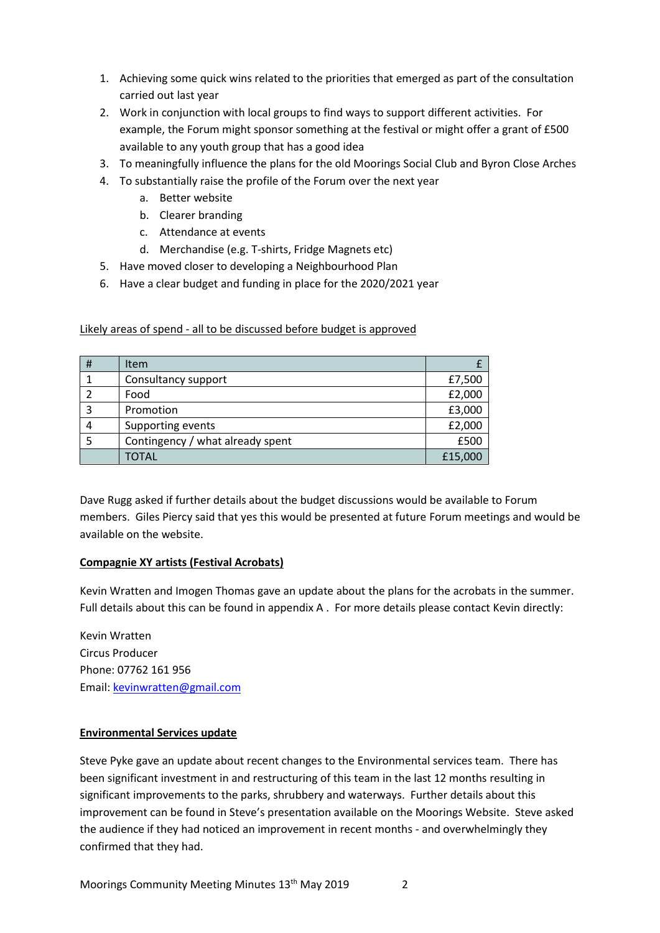- 1. Achieving some quick wins related to the priorities that emerged as part of the consultation carried out last year
- 2. Work in conjunction with local groups to find ways to support different activities. For example, the Forum might sponsor something at the festival or might offer a grant of £500 available to any youth group that has a good idea
- 3. To meaningfully influence the plans for the old Moorings Social Club and Byron Close Arches
- 4. To substantially raise the profile of the Forum over the next year
	- a. Better website
	- b. Clearer branding
	- c. Attendance at events
	- d. Merchandise (e.g. T-shirts, Fridge Magnets etc)
- 5. Have moved closer to developing a Neighbourhood Plan
- 6. Have a clear budget and funding in place for the 2020/2021 year

Likely areas of spend - all to be discussed before budget is approved

| # | Item                             |         |
|---|----------------------------------|---------|
|   | Consultancy support              | £7,500  |
|   | Food                             | £2,000  |
|   | Promotion                        | £3,000  |
|   | Supporting events                | £2,000  |
|   | Contingency / what already spent | £500    |
|   | <b>TOTAL</b>                     | £15,000 |

Dave Rugg asked if further details about the budget discussions would be available to Forum members. Giles Piercy said that yes this would be presented at future Forum meetings and would be available on the website.

#### **Compagnie XY artists (Festival Acrobats)**

Kevin Wratten and Imogen Thomas gave an update about the plans for the acrobats in the summer. Full details about this can be found in appendix A . For more details please contact Kevin directly:

Kevin Wratten Circus Producer Phone: 07762 161 956 Email: [kevinwratten@gmail.com](mailto:kevinwratten@gmail.com)

#### **Environmental Services update**

Steve Pyke gave an update about recent changes to the Environmental services team. There has been significant investment in and restructuring of this team in the last 12 months resulting in significant improvements to the parks, shrubbery and waterways. Further details about this improvement can be found in Steve's presentation available on the Moorings Website. Steve asked the audience if they had noticed an improvement in recent months - and overwhelmingly they confirmed that they had.